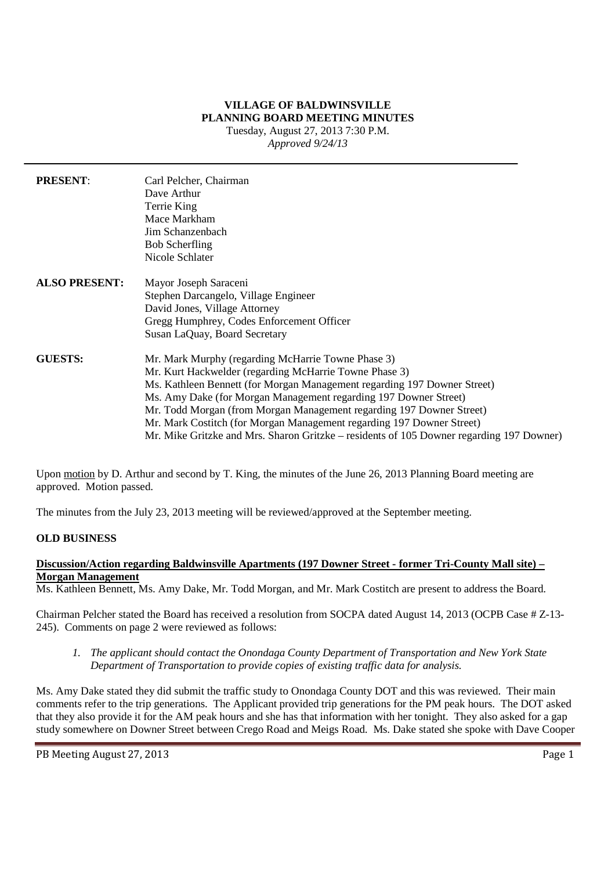#### **VILLAGE OF BALDWINSVILLE PLANNING BOARD MEETING MINUTES** Tuesday, August 27, 2013 7:30 P.M. *Approved 9/24/13*

**PRESENT**: Carl Pelcher, Chairman Dave Arthur Terrie King Mace Markham Jim Schanzenbach Bob Scherfling Nicole Schlater **ALSO PRESENT:** Mayor Joseph Saraceni Stephen Darcangelo, Village Engineer David Jones, Village Attorney Gregg Humphrey, Codes Enforcement Officer Susan LaQuay, Board Secretary **GUESTS:** Mr. Mark Murphy (regarding McHarrie Towne Phase 3) Mr. Kurt Hackwelder (regarding McHarrie Towne Phase 3) Ms. Kathleen Bennett (for Morgan Management regarding 197 Downer Street) Ms. Amy Dake (for Morgan Management regarding 197 Downer Street) Mr. Todd Morgan (from Morgan Management regarding 197 Downer Street) Mr. Mark Costitch (for Morgan Management regarding 197 Downer Street) Mr. Mike Gritzke and Mrs. Sharon Gritzke – residents of 105 Downer regarding 197 Downer)

Upon motion by D. Arthur and second by T. King, the minutes of the June 26, 2013 Planning Board meeting are approved. Motion passed.

The minutes from the July 23, 2013 meeting will be reviewed/approved at the September meeting.

## **OLD BUSINESS**

### **Discussion/Action regarding Baldwinsville Apartments (197 Downer Street - former Tri-County Mall site) – Morgan Management**

Ms. Kathleen Bennett, Ms. Amy Dake, Mr. Todd Morgan, and Mr. Mark Costitch are present to address the Board.

Chairman Pelcher stated the Board has received a resolution from SOCPA dated August 14, 2013 (OCPB Case # Z-13- 245). Comments on page 2 were reviewed as follows:

*1. The applicant should contact the Onondaga County Department of Transportation and New York State Department of Transportation to provide copies of existing traffic data for analysis.*

Ms. Amy Dake stated they did submit the traffic study to Onondaga County DOT and this was reviewed. Their main comments refer to the trip generations. The Applicant provided trip generations for the PM peak hours. The DOT asked that they also provide it for the AM peak hours and she has that information with her tonight. They also asked for a gap study somewhere on Downer Street between Crego Road and Meigs Road. Ms. Dake stated she spoke with Dave Cooper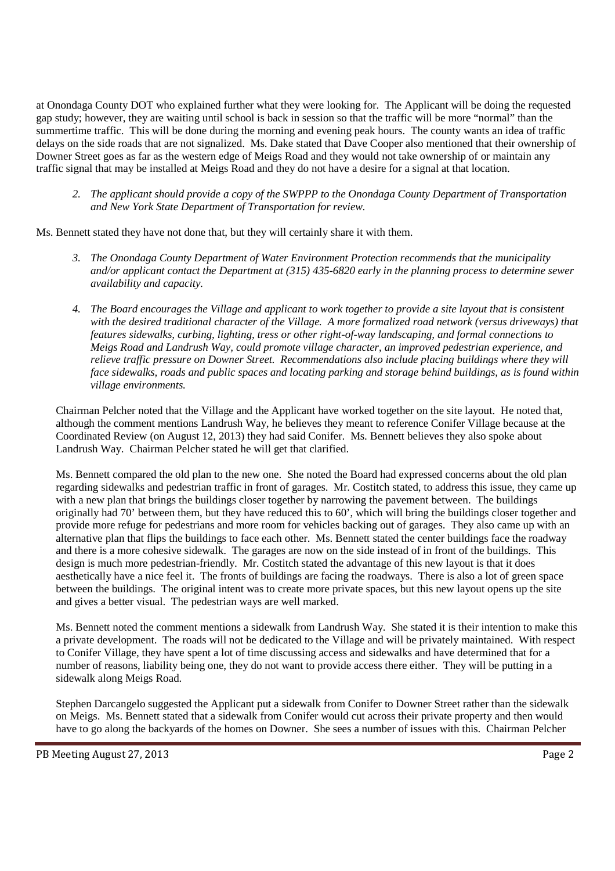at Onondaga County DOT who explained further what they were looking for. The Applicant will be doing the requested gap study; however, they are waiting until school is back in session so that the traffic will be more "normal" than the summertime traffic. This will be done during the morning and evening peak hours. The county wants an idea of traffic delays on the side roads that are not signalized. Ms. Dake stated that Dave Cooper also mentioned that their ownership of Downer Street goes as far as the western edge of Meigs Road and they would not take ownership of or maintain any traffic signal that may be installed at Meigs Road and they do not have a desire for a signal at that location.

*2. The applicant should provide a copy of the SWPPP to the Onondaga County Department of Transportation and New York State Department of Transportation for review.*

Ms. Bennett stated they have not done that, but they will certainly share it with them.

- *3. The Onondaga County Department of Water Environment Protection recommends that the municipality and/or applicant contact the Department at (315) 435-6820 early in the planning process to determine sewer availability and capacity.*
- *4. The Board encourages the Village and applicant to work together to provide a site layout that is consistent with the desired traditional character of the Village. A more formalized road network (versus driveways) that features sidewalks, curbing, lighting, tress or other right-of-way landscaping, and formal connections to Meigs Road and Landrush Way, could promote village character, an improved pedestrian experience, and relieve traffic pressure on Downer Street. Recommendations also include placing buildings where they will face sidewalks, roads and public spaces and locating parking and storage behind buildings, as is found within village environments.*

Chairman Pelcher noted that the Village and the Applicant have worked together on the site layout. He noted that, although the comment mentions Landrush Way, he believes they meant to reference Conifer Village because at the Coordinated Review (on August 12, 2013) they had said Conifer. Ms. Bennett believes they also spoke about Landrush Way. Chairman Pelcher stated he will get that clarified.

Ms. Bennett compared the old plan to the new one. She noted the Board had expressed concerns about the old plan regarding sidewalks and pedestrian traffic in front of garages. Mr. Costitch stated, to address this issue, they came up with a new plan that brings the buildings closer together by narrowing the pavement between. The buildings originally had 70' between them, but they have reduced this to 60', which will bring the buildings closer together and provide more refuge for pedestrians and more room for vehicles backing out of garages. They also came up with an alternative plan that flips the buildings to face each other. Ms. Bennett stated the center buildings face the roadway and there is a more cohesive sidewalk. The garages are now on the side instead of in front of the buildings. This design is much more pedestrian-friendly. Mr. Costitch stated the advantage of this new layout is that it does aesthetically have a nice feel it. The fronts of buildings are facing the roadways. There is also a lot of green space between the buildings. The original intent was to create more private spaces, but this new layout opens up the site and gives a better visual. The pedestrian ways are well marked.

Ms. Bennett noted the comment mentions a sidewalk from Landrush Way. She stated it is their intention to make this a private development. The roads will not be dedicated to the Village and will be privately maintained. With respect to Conifer Village, they have spent a lot of time discussing access and sidewalks and have determined that for a number of reasons, liability being one, they do not want to provide access there either. They will be putting in a sidewalk along Meigs Road.

Stephen Darcangelo suggested the Applicant put a sidewalk from Conifer to Downer Street rather than the sidewalk on Meigs. Ms. Bennett stated that a sidewalk from Conifer would cut across their private property and then would have to go along the backyards of the homes on Downer. She sees a number of issues with this. Chairman Pelcher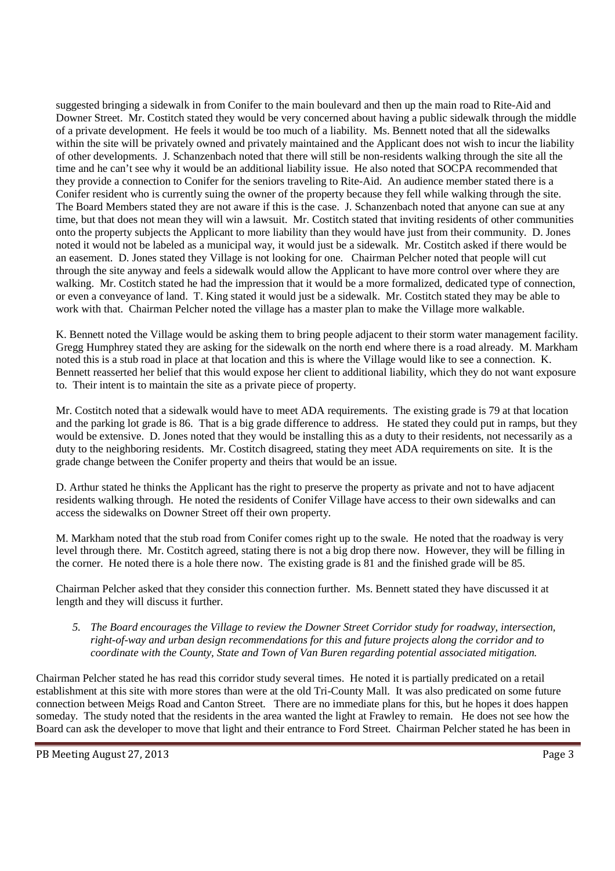suggested bringing a sidewalk in from Conifer to the main boulevard and then up the main road to Rite-Aid and Downer Street. Mr. Costitch stated they would be very concerned about having a public sidewalk through the middle of a private development. He feels it would be too much of a liability. Ms. Bennett noted that all the sidewalks within the site will be privately owned and privately maintained and the Applicant does not wish to incur the liability of other developments. J. Schanzenbach noted that there will still be non-residents walking through the site all the time and he can't see why it would be an additional liability issue. He also noted that SOCPA recommended that they provide a connection to Conifer for the seniors traveling to Rite-Aid. An audience member stated there is a Conifer resident who is currently suing the owner of the property because they fell while walking through the site. The Board Members stated they are not aware if this is the case. J. Schanzenbach noted that anyone can sue at any time, but that does not mean they will win a lawsuit. Mr. Costitch stated that inviting residents of other communities onto the property subjects the Applicant to more liability than they would have just from their community. D. Jones noted it would not be labeled as a municipal way, it would just be a sidewalk. Mr. Costitch asked if there would be an easement. D. Jones stated they Village is not looking for one. Chairman Pelcher noted that people will cut through the site anyway and feels a sidewalk would allow the Applicant to have more control over where they are walking. Mr. Costitch stated he had the impression that it would be a more formalized, dedicated type of connection, or even a conveyance of land. T. King stated it would just be a sidewalk. Mr. Costitch stated they may be able to work with that. Chairman Pelcher noted the village has a master plan to make the Village more walkable.

K. Bennett noted the Village would be asking them to bring people adjacent to their storm water management facility. Gregg Humphrey stated they are asking for the sidewalk on the north end where there is a road already. M. Markham noted this is a stub road in place at that location and this is where the Village would like to see a connection. K. Bennett reasserted her belief that this would expose her client to additional liability, which they do not want exposure to. Their intent is to maintain the site as a private piece of property.

Mr. Costitch noted that a sidewalk would have to meet ADA requirements. The existing grade is 79 at that location and the parking lot grade is 86. That is a big grade difference to address. He stated they could put in ramps, but they would be extensive. D. Jones noted that they would be installing this as a duty to their residents, not necessarily as a duty to the neighboring residents. Mr. Costitch disagreed, stating they meet ADA requirements on site. It is the grade change between the Conifer property and theirs that would be an issue.

D. Arthur stated he thinks the Applicant has the right to preserve the property as private and not to have adjacent residents walking through. He noted the residents of Conifer Village have access to their own sidewalks and can access the sidewalks on Downer Street off their own property.

M. Markham noted that the stub road from Conifer comes right up to the swale. He noted that the roadway is very level through there. Mr. Costitch agreed, stating there is not a big drop there now. However, they will be filling in the corner. He noted there is a hole there now. The existing grade is 81 and the finished grade will be 85.

Chairman Pelcher asked that they consider this connection further. Ms. Bennett stated they have discussed it at length and they will discuss it further.

*5. The Board encourages the Village to review the Downer Street Corridor study for roadway, intersection, right-of-way and urban design recommendations for this and future projects along the corridor and to coordinate with the County, State and Town of Van Buren regarding potential associated mitigation.*

Chairman Pelcher stated he has read this corridor study several times. He noted it is partially predicated on a retail establishment at this site with more stores than were at the old Tri-County Mall. It was also predicated on some future connection between Meigs Road and Canton Street. There are no immediate plans for this, but he hopes it does happen someday. The study noted that the residents in the area wanted the light at Frawley to remain. He does not see how the Board can ask the developer to move that light and their entrance to Ford Street. Chairman Pelcher stated he has been in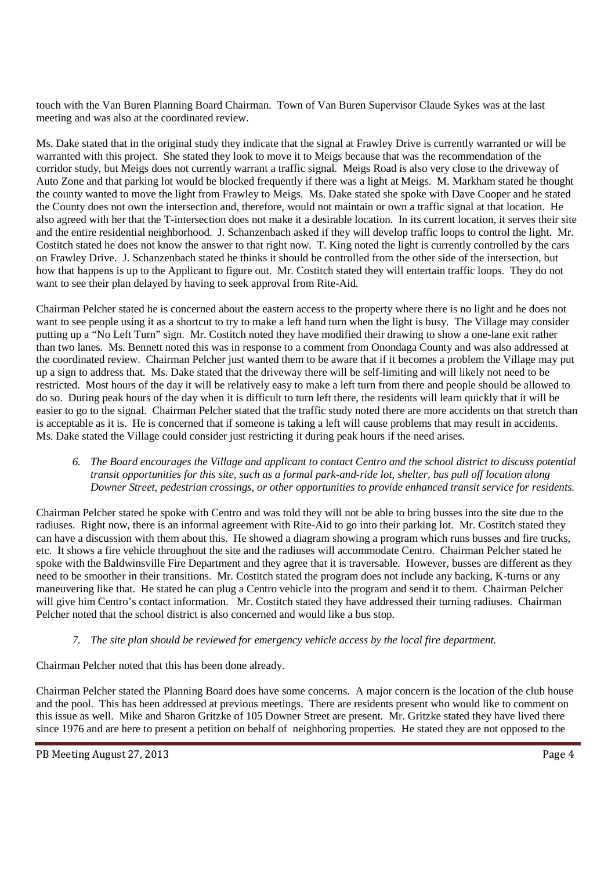touch with the Van Buren Planning Board Chairman. Town of Van Buren Supervisor Claude Sykes was at the last meeting and was also at the coordinated review.

Ms. Dake stated that in the original study they indicate that the signal at Frawley Drive is currently warranted or will be warranted with this project. She stated they look to move it to Meigs because that was the recommendation of the corridor study, but Meigs does not currently warrant a traffic signal. Meigs Road is also very close to the driveway of Auto Zone and that parking lot would be blocked frequently if there was a light at Meigs. M. Markham stated he thought the county wanted to move the light from Frawley to Meigs. Ms. Dake stated she spoke with Dave Cooper and he stated the County does not own the intersection and, therefore, would not maintain or own a traffic signal at that location. He also agreed with her that the T-intersection does not make it a desirable location. In its current location, it serves their site and the entire residential neighborhood. J. Schanzenbach asked if they will develop traffic loops to control the light. Mr. Costitch stated he does not know the answer to that right now. T. King noted the light is currently controlled by the cars on Frawley Drive. J. Schanzenbach stated he thinks it should be controlled from the other side of the intersection, but how that happens is up to the Applicant to figure out. Mr. Costitch stated they will entertain traffic loops. They do not want to see their plan delayed by having to seek approval from Rite-Aid.

Chairman Pelcher stated he is concerned about the eastern access to the property where there is no light and he does not want to see people using it as a shortcut to try to make a left hand turn when the light is busy. The Village may consider putting up a "No Left Turn" sign. Mr. Costitch noted they have modified their drawing to show a one-lane exit rather than two lanes. Ms. Bennett noted this was in response to a comment from Onondaga County and was also addressed at the coordinated review. Chairman Pelcher just wanted them to be aware that if it becomes a problem the Village may put up a sign to address that. Ms. Dake stated that the driveway there will be self-limiting and will likely not need to be restricted. Most hours of the day it will be relatively easy to make a left turn from there and people should be allowed to do so. During peak hours of the day when it is difficult to turn left there, the residents will learn quickly that it will be easier to go to the signal. Chairman Pelcher stated that the traffic study noted there are more accidents on that stretch than is acceptable as it is. He is concerned that if someone is taking a left will cause problems that may result in accidents. Ms. Dake stated the Village could consider just restricting it during peak hours if the need arises.

#### *6. The Board encourages the Village and applicant to contact Centro and the school district to discuss potential transit opportunities for this site, such as a formal park-and-ride lot, shelter, bus pull off location along Downer Street, pedestrian crossings, or other opportunities to provide enhanced transit service for residents.*

Chairman Pelcher stated he spoke with Centro and was told they will not be able to bring busses into the site due to the radiuses. Right now, there is an informal agreement with Rite-Aid to go into their parking lot. Mr. Costitch stated they can have a discussion with them about this. He showed a diagram showing a program which runs busses and fire trucks, etc. It shows a fire vehicle throughout the site and the radiuses will accommodate Centro. Chairman Pelcher stated he spoke with the Baldwinsville Fire Department and they agree that it is traversable. However, busses are different as they need to be smoother in their transitions. Mr. Costitch stated the program does not include any backing, K-turns or any maneuvering like that. He stated he can plug a Centro vehicle into the program and send it to them. Chairman Pelcher will give him Centro's contact information. Mr. Costitch stated they have addressed their turning radiuses. Chairman Pelcher noted that the school district is also concerned and would like a bus stop.

## *7. The site plan should be reviewed for emergency vehicle access by the local fire department.*

Chairman Pelcher noted that this has been done already.

Chairman Pelcher stated the Planning Board does have some concerns. A major concern is the location of the club house and the pool. This has been addressed at previous meetings. There are residents present who would like to comment on this issue as well. Mike and Sharon Gritzke of 105 Downer Street are present. Mr. Gritzke stated they have lived there since 1976 and are here to present a petition on behalf of neighboring properties. He stated they are not opposed to the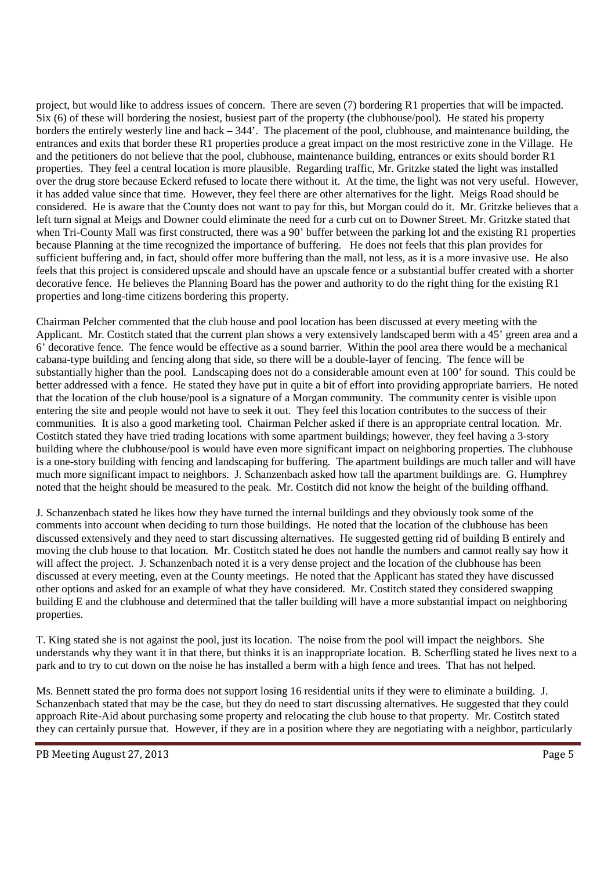project, but would like to address issues of concern. There are seven (7) bordering R1 properties that will be impacted. Six (6) of these will bordering the nosiest, busiest part of the property (the clubhouse/pool). He stated his property borders the entirely westerly line and back – 344'. The placement of the pool, clubhouse, and maintenance building, the entrances and exits that border these R1 properties produce a great impact on the most restrictive zone in the Village. He and the petitioners do not believe that the pool, clubhouse, maintenance building, entrances or exits should border R1 properties. They feel a central location is more plausible. Regarding traffic, Mr. Gritzke stated the light was installed over the drug store because Eckerd refused to locate there without it. At the time, the light was not very useful. However, it has added value since that time. However, they feel there are other alternatives for the light. Meigs Road should be considered. He is aware that the County does not want to pay for this, but Morgan could do it. Mr. Gritzke believes that a left turn signal at Meigs and Downer could eliminate the need for a curb cut on to Downer Street. Mr. Gritzke stated that when Tri-County Mall was first constructed, there was a 90' buffer between the parking lot and the existing R1 properties because Planning at the time recognized the importance of buffering. He does not feels that this plan provides for sufficient buffering and, in fact, should offer more buffering than the mall, not less, as it is a more invasive use. He also feels that this project is considered upscale and should have an upscale fence or a substantial buffer created with a shorter decorative fence. He believes the Planning Board has the power and authority to do the right thing for the existing R1 properties and long-time citizens bordering this property.

Chairman Pelcher commented that the club house and pool location has been discussed at every meeting with the Applicant. Mr. Costitch stated that the current plan shows a very extensively landscaped berm with a 45' green area and a 6' decorative fence. The fence would be effective as a sound barrier. Within the pool area there would be a mechanical cabana-type building and fencing along that side, so there will be a double-layer of fencing. The fence will be substantially higher than the pool. Landscaping does not do a considerable amount even at 100' for sound. This could be better addressed with a fence. He stated they have put in quite a bit of effort into providing appropriate barriers. He noted that the location of the club house/pool is a signature of a Morgan community. The community center is visible upon entering the site and people would not have to seek it out. They feel this location contributes to the success of their communities. It is also a good marketing tool. Chairman Pelcher asked if there is an appropriate central location. Mr. Costitch stated they have tried trading locations with some apartment buildings; however, they feel having a 3-story building where the clubhouse/pool is would have even more significant impact on neighboring properties. The clubhouse is a one-story building with fencing and landscaping for buffering. The apartment buildings are much taller and will have much more significant impact to neighbors. J. Schanzenbach asked how tall the apartment buildings are. G. Humphrey noted that the height should be measured to the peak. Mr. Costitch did not know the height of the building offhand.

J. Schanzenbach stated he likes how they have turned the internal buildings and they obviously took some of the comments into account when deciding to turn those buildings. He noted that the location of the clubhouse has been discussed extensively and they need to start discussing alternatives. He suggested getting rid of building B entirely and moving the club house to that location. Mr. Costitch stated he does not handle the numbers and cannot really say how it will affect the project. J. Schanzenbach noted it is a very dense project and the location of the clubhouse has been discussed at every meeting, even at the County meetings. He noted that the Applicant has stated they have discussed other options and asked for an example of what they have considered. Mr. Costitch stated they considered swapping building E and the clubhouse and determined that the taller building will have a more substantial impact on neighboring properties.

T. King stated she is not against the pool, just its location. The noise from the pool will impact the neighbors. She understands why they want it in that there, but thinks it is an inappropriate location. B. Scherfling stated he lives next to a park and to try to cut down on the noise he has installed a berm with a high fence and trees. That has not helped.

Ms. Bennett stated the pro forma does not support losing 16 residential units if they were to eliminate a building. J. Schanzenbach stated that may be the case, but they do need to start discussing alternatives. He suggested that they could approach Rite-Aid about purchasing some property and relocating the club house to that property. Mr. Costitch stated they can certainly pursue that. However, if they are in a position where they are negotiating with a neighbor, particularly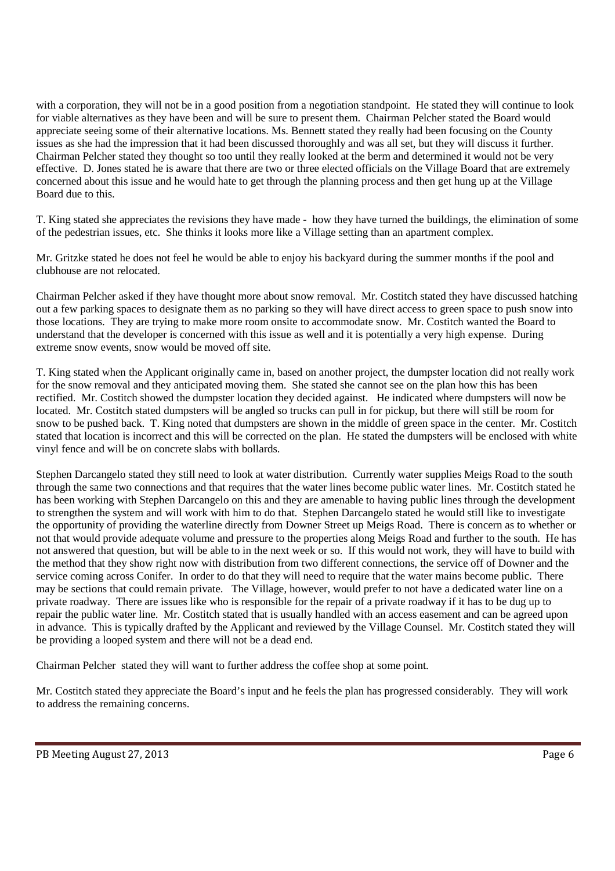with a corporation, they will not be in a good position from a negotiation standpoint. He stated they will continue to look for viable alternatives as they have been and will be sure to present them. Chairman Pelcher stated the Board would appreciate seeing some of their alternative locations. Ms. Bennett stated they really had been focusing on the County issues as she had the impression that it had been discussed thoroughly and was all set, but they will discuss it further. Chairman Pelcher stated they thought so too until they really looked at the berm and determined it would not be very effective. D. Jones stated he is aware that there are two or three elected officials on the Village Board that are extremely concerned about this issue and he would hate to get through the planning process and then get hung up at the Village Board due to this.

T. King stated she appreciates the revisions they have made - how they have turned the buildings, the elimination of some of the pedestrian issues, etc. She thinks it looks more like a Village setting than an apartment complex.

Mr. Gritzke stated he does not feel he would be able to enjoy his backyard during the summer months if the pool and clubhouse are not relocated.

Chairman Pelcher asked if they have thought more about snow removal. Mr. Costitch stated they have discussed hatching out a few parking spaces to designate them as no parking so they will have direct access to green space to push snow into those locations. They are trying to make more room onsite to accommodate snow. Mr. Costitch wanted the Board to understand that the developer is concerned with this issue as well and it is potentially a very high expense. During extreme snow events, snow would be moved off site.

T. King stated when the Applicant originally came in, based on another project, the dumpster location did not really work for the snow removal and they anticipated moving them. She stated she cannot see on the plan how this has been rectified. Mr. Costitch showed the dumpster location they decided against. He indicated where dumpsters will now be located. Mr. Costitch stated dumpsters will be angled so trucks can pull in for pickup, but there will still be room for snow to be pushed back. T. King noted that dumpsters are shown in the middle of green space in the center. Mr. Costitch stated that location is incorrect and this will be corrected on the plan. He stated the dumpsters will be enclosed with white vinyl fence and will be on concrete slabs with bollards.

Stephen Darcangelo stated they still need to look at water distribution. Currently water supplies Meigs Road to the south through the same two connections and that requires that the water lines become public water lines. Mr. Costitch stated he has been working with Stephen Darcangelo on this and they are amenable to having public lines through the development to strengthen the system and will work with him to do that. Stephen Darcangelo stated he would still like to investigate the opportunity of providing the waterline directly from Downer Street up Meigs Road. There is concern as to whether or not that would provide adequate volume and pressure to the properties along Meigs Road and further to the south. He has not answered that question, but will be able to in the next week or so. If this would not work, they will have to build with the method that they show right now with distribution from two different connections, the service off of Downer and the service coming across Conifer. In order to do that they will need to require that the water mains become public. There may be sections that could remain private. The Village, however, would prefer to not have a dedicated water line on a private roadway. There are issues like who is responsible for the repair of a private roadway if it has to be dug up to repair the public water line. Mr. Costitch stated that is usually handled with an access easement and can be agreed upon in advance. This is typically drafted by the Applicant and reviewed by the Village Counsel. Mr. Costitch stated they will be providing a looped system and there will not be a dead end.

Chairman Pelcher stated they will want to further address the coffee shop at some point.

Mr. Costitch stated they appreciate the Board's input and he feels the plan has progressed considerably. They will work to address the remaining concerns.